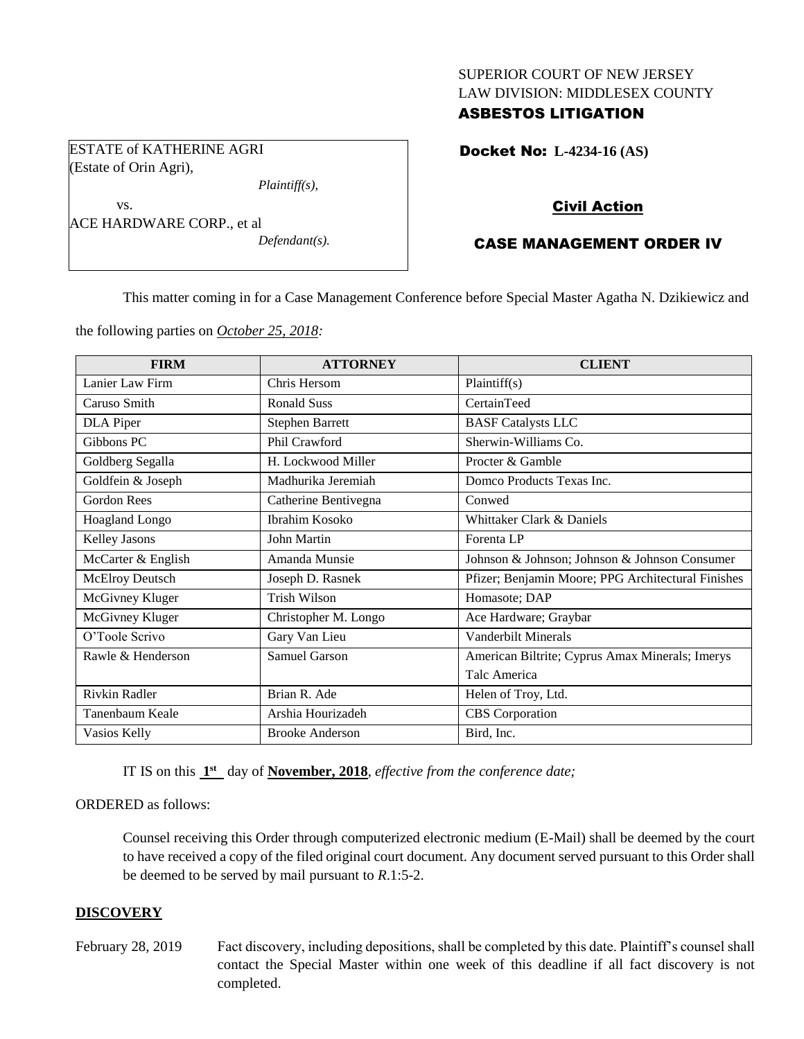# SUPERIOR COURT OF NEW JERSEY LAW DIVISION: MIDDLESEX COUNTY

# ASBESTOS LITIGATION

ESTATE of KATHERINE AGRI (Estate of Orin Agri),

*Plaintiff(s),*

vs. ACE HARDWARE CORP., et al *Defendant(s).* Docket No: **L-4234-16 (AS)** 

# Civil Action

# CASE MANAGEMENT ORDER IV

This matter coming in for a Case Management Conference before Special Master Agatha N. Dzikiewicz and

the following parties on *October 25, 2018:*

| <b>FIRM</b>           | <b>ATTORNEY</b>        | <b>CLIENT</b>                                      |
|-----------------------|------------------------|----------------------------------------------------|
| Lanier Law Firm       | Chris Hersom           | Plaintiff(s)                                       |
| Caruso Smith          | <b>Ronald Suss</b>     | CertainTeed                                        |
| <b>DLA</b> Piper      | <b>Stephen Barrett</b> | <b>BASF Catalysts LLC</b>                          |
| Gibbons PC            | Phil Crawford          | Sherwin-Williams Co.                               |
| Goldberg Segalla      | H. Lockwood Miller     | Procter & Gamble                                   |
| Goldfein & Joseph     | Madhurika Jeremiah     | Domco Products Texas Inc.                          |
| Gordon Rees           | Catherine Bentivegna   | Conwed                                             |
| <b>Hoagland Longo</b> | Ibrahim Kosoko         | Whittaker Clark & Daniels                          |
| Kelley Jasons         | John Martin            | Forenta LP                                         |
| McCarter & English    | Amanda Munsie          | Johnson & Johnson; Johnson & Johnson Consumer      |
| McElroy Deutsch       | Joseph D. Rasnek       | Pfizer; Benjamin Moore; PPG Architectural Finishes |
| McGivney Kluger       | <b>Trish Wilson</b>    | Homasote; DAP                                      |
| McGivney Kluger       | Christopher M. Longo   | Ace Hardware; Graybar                              |
| O'Toole Scrivo        | Gary Van Lieu          | Vanderbilt Minerals                                |
| Rawle & Henderson     | Samuel Garson          | American Biltrite; Cyprus Amax Minerals; Imerys    |
|                       |                        | Talc America                                       |
| Rivkin Radler         | Brian R. Ade           | Helen of Troy, Ltd.                                |
| Tanenbaum Keale       | Arshia Hourizadeh      | <b>CBS</b> Corporation                             |
| Vasios Kelly          | <b>Brooke Anderson</b> | Bird, Inc.                                         |

IT IS on this  $1<sup>st</sup>$  day of **November, 2018**, *effective from the conference date*;

# ORDERED as follows:

Counsel receiving this Order through computerized electronic medium (E-Mail) shall be deemed by the court to have received a copy of the filed original court document. Any document served pursuant to this Order shall be deemed to be served by mail pursuant to *R*.1:5-2.

# **DISCOVERY**

February 28, 2019 Fact discovery, including depositions, shall be completed by this date. Plaintiff's counsel shall contact the Special Master within one week of this deadline if all fact discovery is not completed.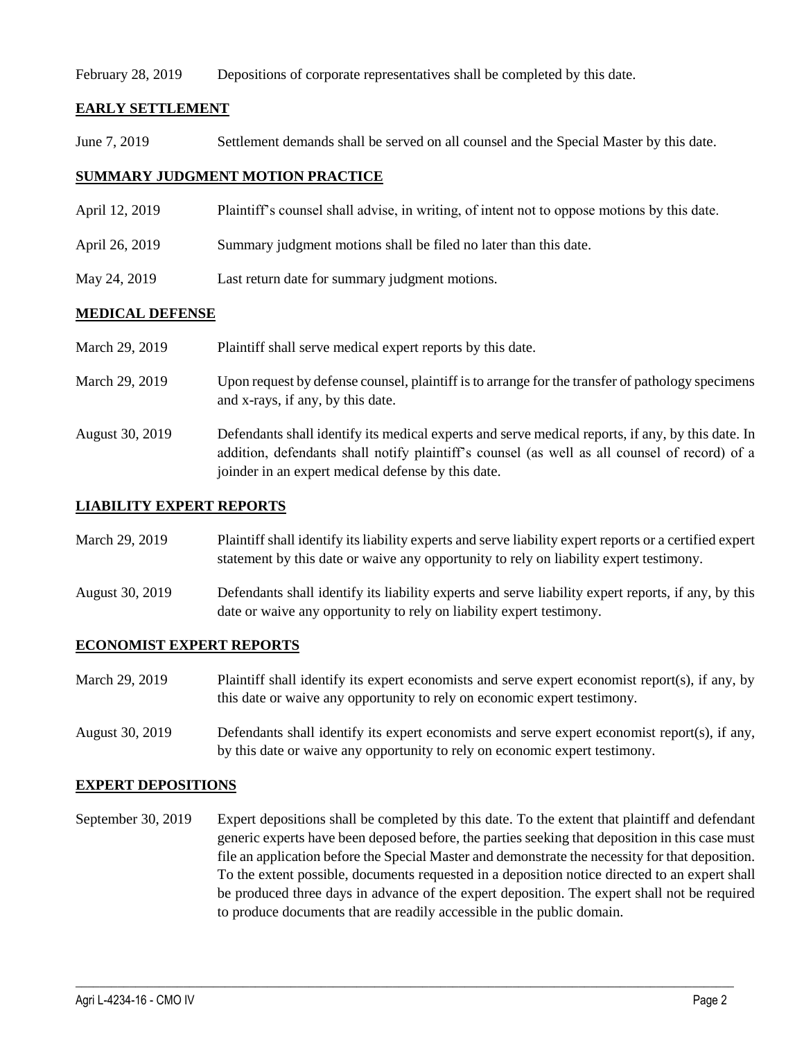February 28, 2019 Depositions of corporate representatives shall be completed by this date.

# **EARLY SETTLEMENT**

June 7, 2019 Settlement demands shall be served on all counsel and the Special Master by this date.

# **SUMMARY JUDGMENT MOTION PRACTICE**

- April 12, 2019 Plaintiff's counsel shall advise, in writing, of intent not to oppose motions by this date.
- April 26, 2019 Summary judgment motions shall be filed no later than this date.
- May 24, 2019 Last return date for summary judgment motions.

# **MEDICAL DEFENSE**

| March 29, 2019  | Plaintiff shall serve medical expert reports by this date.                                                                                                                                                                                               |
|-----------------|----------------------------------------------------------------------------------------------------------------------------------------------------------------------------------------------------------------------------------------------------------|
| March 29, 2019  | Upon request by defense counsel, plaintiff is to arrange for the transfer of pathology specimens<br>and x-rays, if any, by this date.                                                                                                                    |
| August 30, 2019 | Defendants shall identify its medical experts and serve medical reports, if any, by this date. In<br>addition, defendants shall notify plaintiff's counsel (as well as all counsel of record) of a<br>joinder in an expert medical defense by this date. |

#### **LIABILITY EXPERT REPORTS**

| March 29, 2019 | Plaintiff shall identify its liability experts and serve liability expert reports or a certified expert |
|----------------|---------------------------------------------------------------------------------------------------------|
|                | statement by this date or waive any opportunity to rely on liability expert testimony.                  |

August 30, 2019 Defendants shall identify its liability experts and serve liability expert reports, if any, by this date or waive any opportunity to rely on liability expert testimony.

# **ECONOMIST EXPERT REPORTS**

| March 29, 2019 | Plaintiff shall identify its expert economists and serve expert economist report(s), if any, by |
|----------------|-------------------------------------------------------------------------------------------------|
|                | this date or waive any opportunity to rely on economic expert testimony.                        |

August 30, 2019 Defendants shall identify its expert economists and serve expert economist report(s), if any, by this date or waive any opportunity to rely on economic expert testimony.

# **EXPERT DEPOSITIONS**

September 30, 2019 Expert depositions shall be completed by this date. To the extent that plaintiff and defendant generic experts have been deposed before, the parties seeking that deposition in this case must file an application before the Special Master and demonstrate the necessity for that deposition. To the extent possible, documents requested in a deposition notice directed to an expert shall be produced three days in advance of the expert deposition. The expert shall not be required to produce documents that are readily accessible in the public domain.

 $\_$  ,  $\_$  ,  $\_$  ,  $\_$  ,  $\_$  ,  $\_$  ,  $\_$  ,  $\_$  ,  $\_$  ,  $\_$  ,  $\_$  ,  $\_$  ,  $\_$  ,  $\_$  ,  $\_$  ,  $\_$  ,  $\_$  ,  $\_$  ,  $\_$  ,  $\_$  ,  $\_$  ,  $\_$  ,  $\_$  ,  $\_$  ,  $\_$  ,  $\_$  ,  $\_$  ,  $\_$  ,  $\_$  ,  $\_$  ,  $\_$  ,  $\_$  ,  $\_$  ,  $\_$  ,  $\_$  ,  $\_$  ,  $\_$  ,